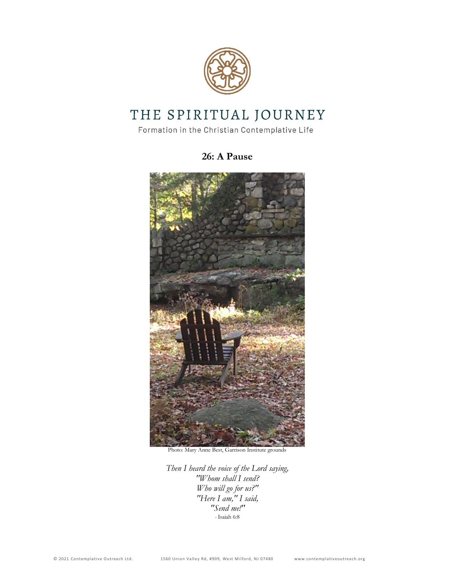

# THE SPIRITUAL JOURNEY

Formation in the Christian Contemplative Life

# **26: A Pause**



Photo: Mary Anne Best, Garrison Institute grounds

*Then I heard the voice of the Lord saying, "Whom shall I send? Who will go for us?" "Here I am," I said, "Send me!" -* Isaiah 6:8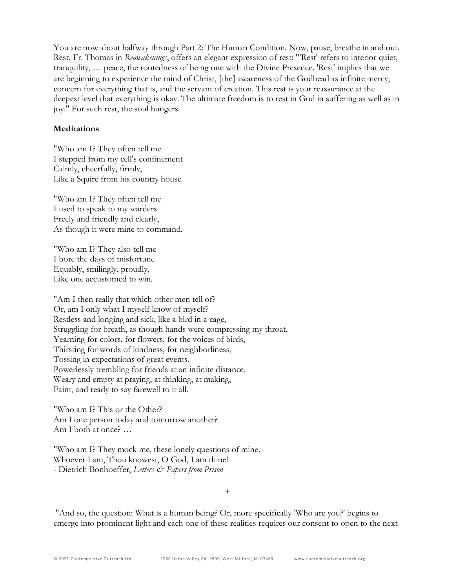You are now about halfway through Part 2: The Human Condition. Now, pause, breathe in and out. Rest. Fr. Thomas in *Reawakenings*, offers an elegant expression of rest: "'Rest' refers to interior quiet, tranquility, … peace, the rootedness of being one with the Divine Presence. 'Rest' implies that we are beginning to experience the mind of Christ, [the] awareness of the Godhead as infinite mercy, concern for everything that is, and the servant of creation. This rest is your reassurance at the deepest level that everything is okay. The ultimate freedom is to rest in God in suffering as well as in joy." For such rest, the soul hungers.

#### **Meditations**

"Who am I? They often tell me I stepped from my cell's confinement Calmly, cheerfully, firmly, Like a Squire from his country house.

"Who am I? They often tell me I used to speak to my warders Freely and friendly and clearly, As though it were mine to command.

"Who am I? They also tell me I bore the days of misfortune Equably, smilingly, proudly, Like one accustomed to win.

"Am I then really that which other men tell of? Or, am I only what I myself know of myself? Restless and longing and sick, like a bird in a cage, Struggling for breath, as though hands were compressing my throat, Yearning for colors, for flowers, for the voices of birds, Thirsting for words of kindness, for neighborliness, Tossing in expectations of great events, Powerlessly trembling for friends at an infinite distance, Weary and empty at praying, at thinking, at making, Faint, and ready to say farewell to it all.

"Who am I? This or the Other? Am I one person today and tomorrow another? Am I both at once? …

"Who am I? They mock me, these lonely questions of mine. Whoever I am, Thou knowest, O God, I am thine! - Dietrich Bonhoeffer, *Letters & Papers from Prison*

+

"And so, the question: What is a human being? Or, more specifically 'Who are you?' begins to emerge into prominent light and each one of these realities requires our consent to open to the next